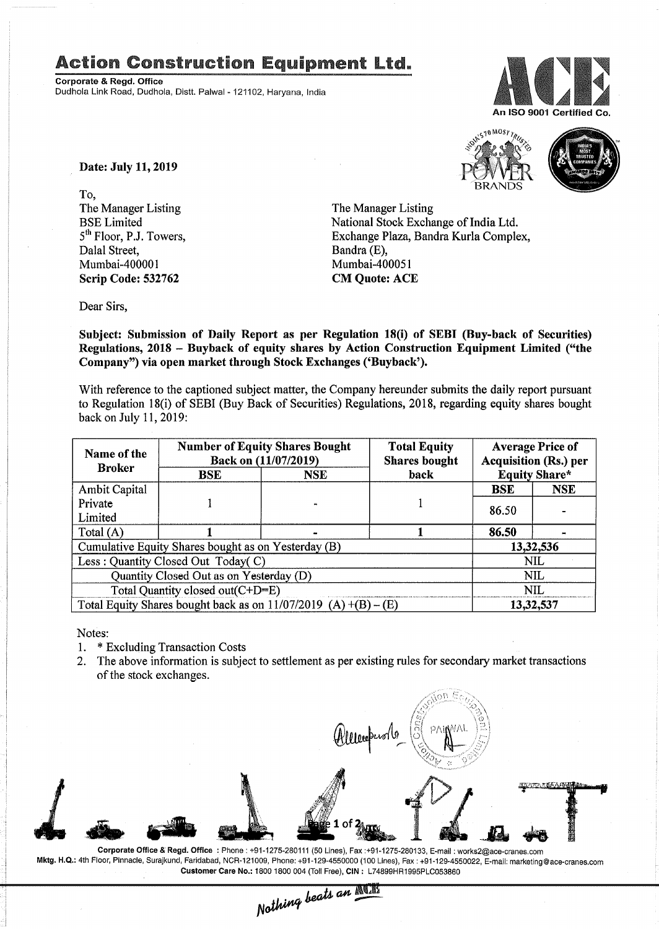## Action Construction Equipment Ltd..

Corporate & Regd. Office Dudhola Link Road, Dudhola, Dlstt. Palwal- 121102, Haryana, India



Date: July 11,2019

To, The Manager Listing BSE Limited 5<sup>th</sup> Floor, P.J. Towers, Dalal Street, Mumbai-400001 Scrip Code: 532762

The Manager Listing National Stock Exchange of India Ltd. Exchange Plaza, Bandra Kurla Complex, Bandra (E), Mumbai-400051 CM Quote: ACE

**BRANDS** 

 $10$  MOST TRUS

Dear Sirs,

Subject: Submission of Daily Report as per Regulation 18(i) of SEBT (Buy-back of Securities) Regulations, 2018 - Buyback of equity shares by Action Construction Equipment Limited ("the Company") via open market through Stock Exchanges ('Buyback').

With reference to the captioned subject matter, the Company hereunder submits the daily report pursuant to Regulation 18(i) of SEBI (Buy Back of Securities) Regulations, 2018, regarding equity shares bought back on July 11, 2019:

| Name of the<br><b>Broker</b>                                      | <b>Number of Equity Shares Bought</b><br>Back on (11/07/2019) |            | <b>Total Equity</b><br><b>Shares bought</b> | <b>Average Price of</b><br><b>Acquisition (Rs.) per</b> |            |  |
|-------------------------------------------------------------------|---------------------------------------------------------------|------------|---------------------------------------------|---------------------------------------------------------|------------|--|
|                                                                   | BSE                                                           | <b>NSE</b> | back                                        | <b>Equity Share*</b>                                    |            |  |
| <b>Ambit Capital</b>                                              |                                                               |            |                                             | <b>BSE</b>                                              | <b>NSE</b> |  |
| Private                                                           |                                                               |            |                                             | 86.50                                                   |            |  |
| Limited                                                           |                                                               |            |                                             |                                                         |            |  |
| Total $(A)$                                                       |                                                               |            |                                             | 86.50                                                   |            |  |
| Cumulative Equity Shares bought as on Yesterday (B)               |                                                               |            |                                             |                                                         | 13,32,536  |  |
| Less: Quantity Closed Out Today(C)                                |                                                               |            |                                             | <b>NIL</b>                                              |            |  |
| Quantity Closed Out as on Yesterday (D)                           |                                                               |            |                                             | <b>NIL</b>                                              |            |  |
| Total Quantity closed out(C+D=E)                                  |                                                               |            |                                             |                                                         | NIL.       |  |
| Total Equity Shares bought back as on $11/07/2019$ (A) +(B) – (E) |                                                               |            |                                             | 13,32,537                                               |            |  |

Notes:

- 1. \* Excluding Transaction Costs
- 2. The above information is subject to settlement as per existing rules for secondary market transactions of the stock exchanges.

**XXXXXXXXXXX** 1.

Corporate Office & Regd. Office: Phone: +91-1275-280111 (50 Lines), Fax:+91-1275-280133, E-mail: works2@ace-cranes.com Mktg. H.Q.: 4th Floor, Pinnacle, Surajkund, Faridabad, NCR-121009, Phone: +91-129-4550000 (100 Lines), Fax: +91-129-4550022, E-mail: marketing@ace-cranes.com

Customer Care No.: 1800 1800 004 (Toll Free), CIN: L74899HR1995PLC053860<br>Nathing beats an **ACT**